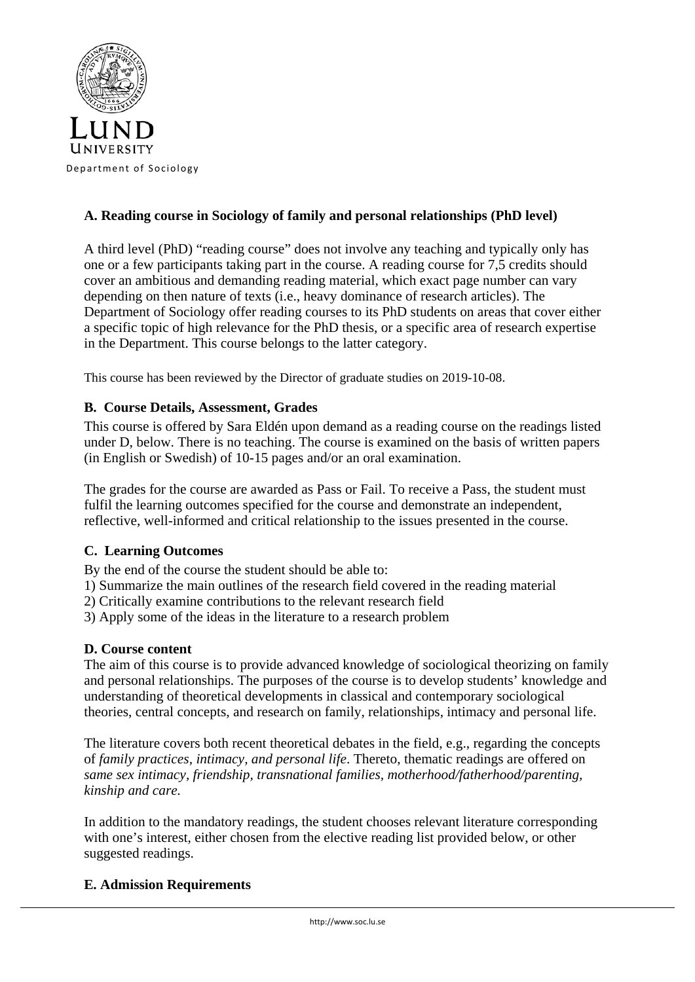

# **A. Reading course in Sociology of family and personal relationships (PhD level)**

A third level (PhD) "reading course" does not involve any teaching and typically only has one or a few participants taking part in the course. A reading course for 7,5 credits should cover an ambitious and demanding reading material, which exact page number can vary depending on then nature of texts (i.e., heavy dominance of research articles). The Department of Sociology offer reading courses to its PhD students on areas that cover either a specific topic of high relevance for the PhD thesis, or a specific area of research expertise in the Department. This course belongs to the latter category.

This course has been reviewed by the Director of graduate studies on 2019-10-08.

## **B. Course Details, Assessment, Grades**

This course is offered by Sara Eldén upon demand as a reading course on the readings listed under D, below. There is no teaching. The course is examined on the basis of written papers (in English or Swedish) of 10-15 pages and/or an oral examination.

The grades for the course are awarded as Pass or Fail. To receive a Pass, the student must fulfil the learning outcomes specified for the course and demonstrate an independent, reflective, well-informed and critical relationship to the issues presented in the course.

# **C. Learning Outcomes**

By the end of the course the student should be able to:

1) Summarize the main outlines of the research field covered in the reading material

- 2) Critically examine contributions to the relevant research field
- 3) Apply some of the ideas in the literature to a research problem

# **D. Course content**

The aim of this course is to provide advanced knowledge of sociological theorizing on family and personal relationships. The purposes of the course is to develop students' knowledge and understanding of theoretical developments in classical and contemporary sociological theories, central concepts, and research on family, relationships, intimacy and personal life.

The literature covers both recent theoretical debates in the field, e.g., regarding the concepts of *family practices, intimacy, and personal life*. Thereto, thematic readings are offered on *same sex intimacy, friendship, transnational families, motherhood/fatherhood/parenting, kinship and care.*

In addition to the mandatory readings, the student chooses relevant literature corresponding with one's interest, either chosen from the elective reading list provided below, or other suggested readings.

## **E. Admission Requirements**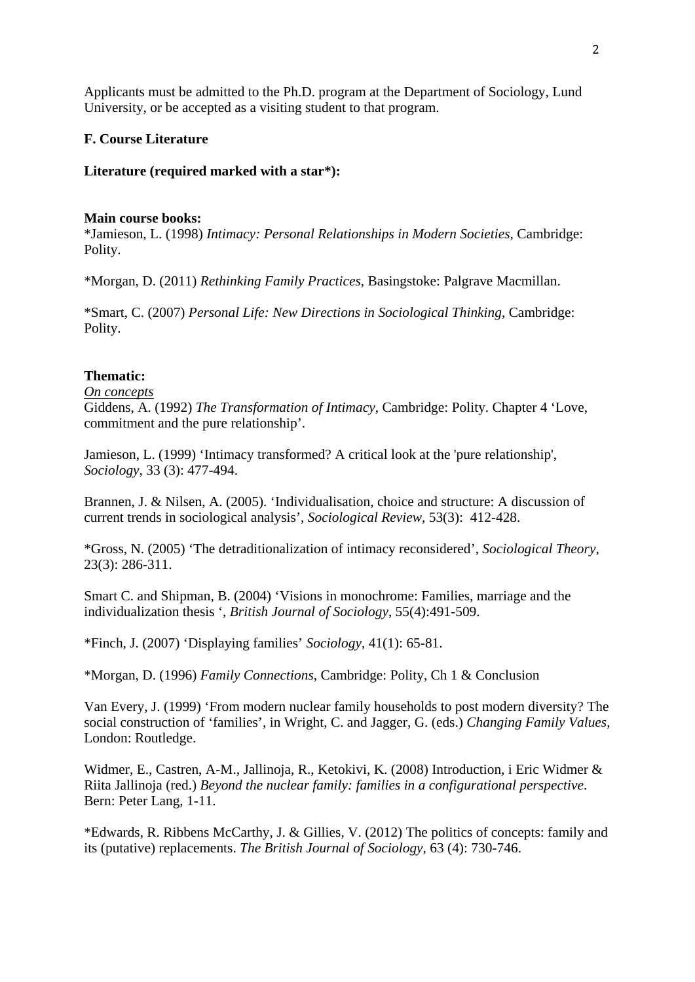Applicants must be admitted to the Ph.D. program at the Department of Sociology, Lund University, or be accepted as a visiting student to that program.

## **F. Course Literature**

## **Literature (required marked with a star\*):**

### **Main course books:**

\*Jamieson, L. (1998) *Intimacy: Personal Relationships in Modern Societies*, Cambridge: Polity.

\*Morgan, D. (2011) *Rethinking Family Practices*, Basingstoke: Palgrave Macmillan.

\*Smart, C. (2007) *Personal Life: New Directions in Sociological Thinking*, Cambridge: Polity.

# **Thematic:**

*On concepts*

Giddens, A. (1992) *The Transformation of Intimacy*, Cambridge: Polity. Chapter 4 'Love, commitment and the pure relationship'.

Jamieson, L. (1999) 'Intimacy transformed? A critical look at the 'pure relationship', *Sociology*, 33 (3): 477-494.

Brannen, J. & Nilsen, A. (2005). 'Individualisation, choice and structure: A discussion of current trends in sociological analysis', *Sociological Review,* 53(3): 412-428.

\*Gross, N. (2005) 'The detraditionalization of intimacy reconsidered', *Sociological Theory*, 23(3): 286-311.

Smart C. and Shipman, B. (2004) 'Visions in monochrome: Families, marriage and the individualization thesis ', *British Journal of Sociology*, 55(4):491-509.

\*Finch, J. (2007) 'Displaying families' *Sociology*, 41(1): 65-81.

\*Morgan, D. (1996) *Family Connections*, Cambridge: Polity, Ch 1 & Conclusion

Van Every, J. (1999) 'From modern nuclear family households to post modern diversity? The social construction of 'families', in Wright, C. and Jagger, G. (eds.) *Changing Family Values*, London: Routledge.

Widmer, E., Castren, A-M., Jallinoja, R., Ketokivi, K. (2008) Introduction, i Eric Widmer & Riita Jallinoja (red.) *Beyond the nuclear family: families in a configurational perspective*. Bern: Peter Lang, 1-11.

\*Edwards, R. Ribbens McCarthy, J. & Gillies, V. (2012) The politics of concepts: family and its (putative) replacements. *The British Journal of Sociology*, 63 (4): 730-746.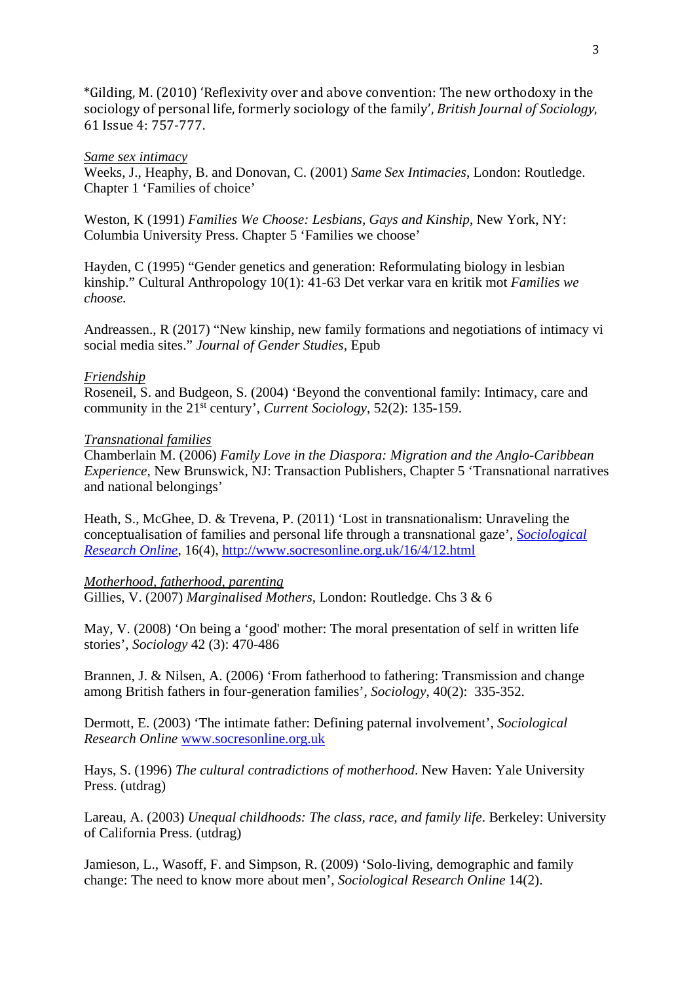\*Gilding, M. (2010) 'Reflexivity over and above convention: The new orthodoxy in the sociology of personal life, formerly sociology of the family', *British Journal of Sociology*, 61 Issue 4: 757-777.

### *Same sex intimacy*

Weeks, J., Heaphy, B. and Donovan, C. (2001) *Same Sex Intimacies*, London: Routledge. Chapter 1 'Families of choice'

Weston, K (1991) *Families We Choose: Lesbians, Gays and Kinship*, New York, NY: Columbia University Press. Chapter 5 'Families we choose'

Hayden, C (1995) "Gender genetics and generation: Reformulating biology in lesbian kinship." Cultural Anthropology 10(1): 41-63 Det verkar vara en kritik mot *Families we choose.*

Andreassen., R (2017) "New kinship, new family formations and negotiations of intimacy vi social media sites." *Journal of Gender Studies,* Epub

### *Friendship*

Roseneil, S. and Budgeon, S. (2004) 'Beyond the conventional family: Intimacy, care and community in the 21st century', *Current Sociology*, 52(2): 135-159.

### *Transnational families*

Chamberlain M. (2006) *Family Love in the Diaspora: Migration and the Anglo-Caribbean Experience*, New Brunswick, NJ: Transaction Publishers, Chapter 5 'Transnational narratives and national belongings'

Heath, S., McGhee, D. & Trevena, P. (2011) 'Lost in transnationalism: Unraveling the conceptualisation of families and personal life through a transnational gaze', *[Sociological](http://www.socresonline.org.uk/)  [Research Online](http://www.socresonline.org.uk/)*, 16(4),<http://www.socresonline.org.uk/16/4/12.html>

#### *Motherhood, fatherhood, parenting*

Gillies, V. (2007) *Marginalised Mothers*, London: Routledge. Chs 3 & 6

May, V. (2008) 'On being a 'good' mother: The moral presentation of self in written life stories', *Sociology* 42 (3): 470-486

Brannen, J. & Nilsen, A. (2006) 'From fatherhood to fathering: Transmission and change among British fathers in four-generation families', *Sociology*, 40(2): 335-352.

Dermott, E. (2003) 'The intimate father: Defining paternal involvement', *Sociological Research Online* [www.socresonline.org.uk](http://www.socresonline.org.uk/) 

Hays, S. (1996) *The cultural contradictions of motherhood*. New Haven: Yale University Press. (utdrag)

Lareau, A. (2003) *Unequal childhoods: The class, race, and family life*. Berkeley: University of California Press. (utdrag)

[Jamieson, L., Wasoff, F. and Simpson,](http://www.socresonline.org.uk/14/2/5/jamieson.html) R. (2009) 'Solo-living, demographic and family change: The need to know more about men', *Sociological Research Online* 14(2).